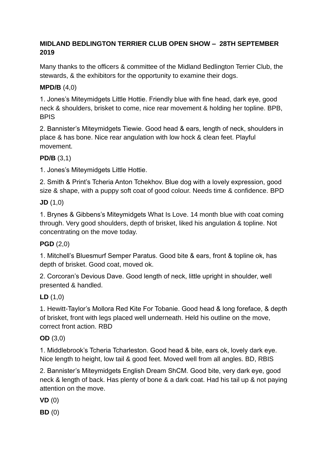## **MIDLAND BEDLINGTON TERRIER CLUB OPEN SHOW – 28TH SEPTEMBER 2019**

Many thanks to the officers & committee of the Midland Bedlington Terrier Club, the stewards, & the exhibitors for the opportunity to examine their dogs.

## **MPD/B** (4,0)

1. Jones's Miteymidgets Little Hottie. Friendly blue with fine head, dark eye, good neck & shoulders, brisket to come, nice rear movement & holding her topline. BPB, BPIS

2. Bannister's Miteymidgets Tiewie. Good head & ears, length of neck, shoulders in place & has bone. Nice rear angulation with low hock & clean feet. Playful movement.

## **PD/B** (3,1)

1. Jones's Miteymidgets Little Hottie.

2. Smith & Print's Tcheria Anton Tchekhov. Blue dog with a lovely expression, good size & shape, with a puppy soft coat of good colour. Needs time & confidence. BPD

## **JD** (1,0)

1. Brynes & Gibbens's Miteymidgets What Is Love. 14 month blue with coat coming through. Very good shoulders, depth of brisket, liked his angulation & topline. Not concentrating on the move today.

## **PGD** (2,0)

1. Mitchell's Bluesmurf Semper Paratus. Good bite & ears, front & topline ok, has depth of brisket. Good coat, moved ok.

2. Corcoran's Devious Dave. Good length of neck, little upright in shoulder, well presented & handled.

## **LD** (1,0)

1. Hewitt-Taylor's Mollora Red Kite For Tobanie. Good head & long foreface, & depth of brisket, front with legs placed well underneath. Held his outline on the move, correct front action. RBD

# **OD** (3,0)

1. Middlebrook's Tcheria Tcharleston. Good head & bite, ears ok, lovely dark eye. Nice length to height, low tail & good feet. Moved well from all angles. BD, RBIS

2. Bannister's Miteymidgets English Dream ShCM. Good bite, very dark eye, good neck & length of back. Has plenty of bone & a dark coat. Had his tail up & not paying attention on the move.

**VD** (0)

**BD** (0)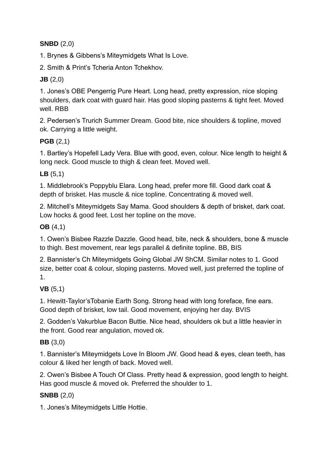## **SNBD** (2,0)

1. Brynes & Gibbens's Miteymidgets What Is Love.

2. Smith & Print's Tcheria Anton Tchekhov.

## **JB** (2,0)

1. Jones's OBE Pengerrig Pure Heart. Long head, pretty expression, nice sloping shoulders, dark coat with guard hair. Has good sloping pasterns & tight feet. Moved well. RBB

2. Pedersen's Trurich Summer Dream. Good bite, nice shoulders & topline, moved ok. Carrying a little weight.

# **PGB** (2,1)

1. Bartley's Hopefell Lady Vera. Blue with good, even, colour. Nice length to height & long neck. Good muscle to thigh & clean feet. Moved well.

## **LB** (5,1)

1. Middlebrook's Poppyblu Elara. Long head, prefer more fill. Good dark coat & depth of brisket. Has muscle & nice topline. Concentrating & moved well.

2. Mitchell's Miteymidgets Say Mama. Good shoulders & depth of brisket, dark coat. Low hocks & good feet. Lost her topline on the move.

## **OB** (4,1)

1. Owen's Bisbee Razzle Dazzle. Good head, bite, neck & shoulders, bone & muscle to thigh. Best movement, rear legs parallel & definite topline. BB, BIS

2. Bannister's Ch Miteymidgets Going Global JW ShCM. Similar notes to 1. Good size, better coat & colour, sloping pasterns. Moved well, just preferred the topline of 1.

## **VB** (5,1)

1. Hewitt-Taylor'sTobanie Earth Song. Strong head with long foreface, fine ears. Good depth of brisket, low tail. Good movement, enjoying her day. BVIS

2. Godden's Vakurblue Bacon Buttie. Nice head, shoulders ok but a little heavier in the front. Good rear angulation, moved ok.

# **BB** (3,0)

1. Bannister's Miteymidgets Love In Bloom JW. Good head & eyes, clean teeth, has colour & liked her length of back. Moved well.

2. Owen's Bisbee A Touch Of Class. Pretty head & expression, good length to height. Has good muscle & moved ok. Preferred the shoulder to 1.

# **SNBB** (2,0)

1. Jones's Miteymidgets Little Hottie.